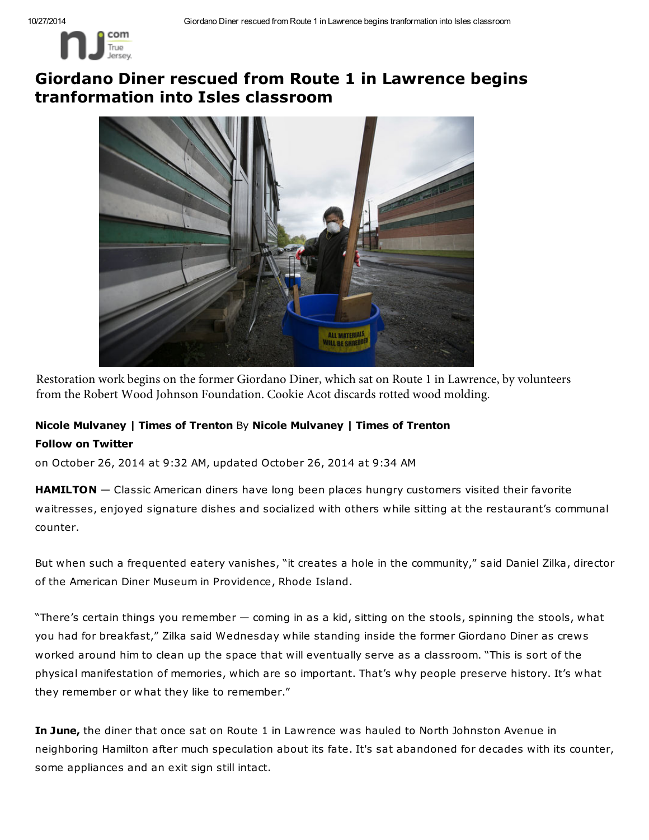

## Giordano Diner rescued from Route 1 in Lawrence begins tranformation into Isles classroom



Restoration work begins on the former Giordano Diner, which sat on Route 1 in Lawrence, by volunteers from the Robert Wood Johnson Foundation. Cookie Acot discards rotted wood molding.

## Nicole Mulvaney | Times of Trenton By Nicole Mulvaney | Times of Trenton Follow on Twitter

on October 26, 2014 at 9:32 AM, updated October 26, 2014 at 9:34 AM

HAMILTON - Classic American diners have long been places hungry customers visited their favorite waitresses, enjoyed signature dishes and socialized with others while sitting at the restaurant's communal counter.

But when such a frequented eatery vanishes, "it creates a hole in the community," said Daniel Zilka, director of the American Diner Museum in Providence, Rhode Island.

"There's certain things you remember — coming in as a kid, sitting on the stools, spinning the stools, what you had for breakfast," Zilka said Wednesday while standing inside the former Giordano Diner as crews worked around him to clean up the space that will eventually serve as a classroom. "This is sort of the physical manifestation of memories, which are so important. That's why people preserve history. It's what they remember or what they like to remember."

In June, the diner that once sat on Route 1 in Lawrence was hauled to North Johnston Avenue in neighboring Hamilton after much speculation about its fate. It's sat abandoned for decades with its counter, some appliances and an exit sign still intact.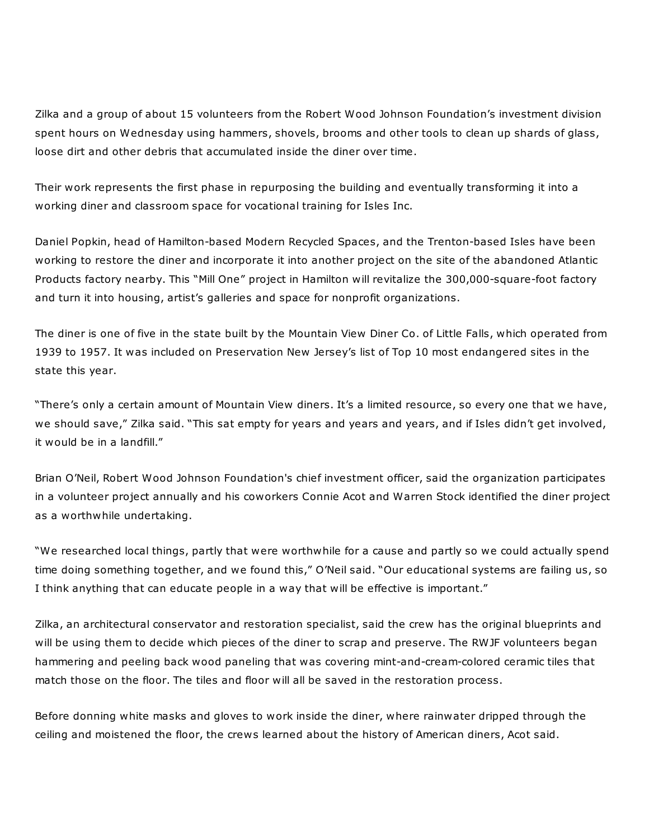Zilka and a group of about 15 volunteers from the Robert Wood Johnson Foundation's investment division spent hours on Wednesday using hammers, shovels, brooms and other tools to clean up shards of glass, loose dirt and other debris that accumulated inside the diner over time.

Their work represents the first phase in repurposing the building and eventually transforming it into a working diner and classroom space for vocational training for Isles Inc.

Daniel Popkin, head of Hamilton-based Modern Recycled Spaces, and the Trenton-based Isles have been working to restore the diner and incorporate it into another project on the site of the abandoned Atlantic Products factory nearby. This "Mill One" project in Hamilton will revitalize the 300,000-square-foot factory and turn it into housing, artist's galleries and space for nonprofit organizations.

The diner is one of five in the state built by the Mountain View Diner Co. of Little Falls, which operated from 1939 to 1957. It was included on Preservation New Jersey's list of Top 10 most endangered sites in the state this year.

"There's only a certain amount of Mountain View diners. It's a limited resource, so every one that we have, we should save," Zilka said. "This sat empty for years and years and years, and if Isles didn't get involved, it would be in a landfill."

Brian O'Neil, Robert Wood Johnson Foundation's chief investment officer, said the organization participates in a volunteer project annually and his coworkers Connie Acot and Warren Stock identified the diner project as a worthwhile undertaking.

"We researched local things, partly that were worthwhile for a cause and partly so we could actually spend time doing something together, and we found this," O'Neil said. "Our educational systems are failing us, so I think anything that can educate people in a way that will be effective is important."

Zilka, an architectural conservator and restoration specialist, said the crew has the original blueprints and will be using them to decide which pieces of the diner to scrap and preserve. The RWJF volunteers began hammering and peeling back wood paneling that was covering mint-and-cream-colored ceramic tiles that match those on the floor. The tiles and floor will all be saved in the restoration process.

Before donning white masks and gloves to work inside the diner, where rainwater dripped through the ceiling and moistened the floor, the crews learned about the history of American diners, Acot said.